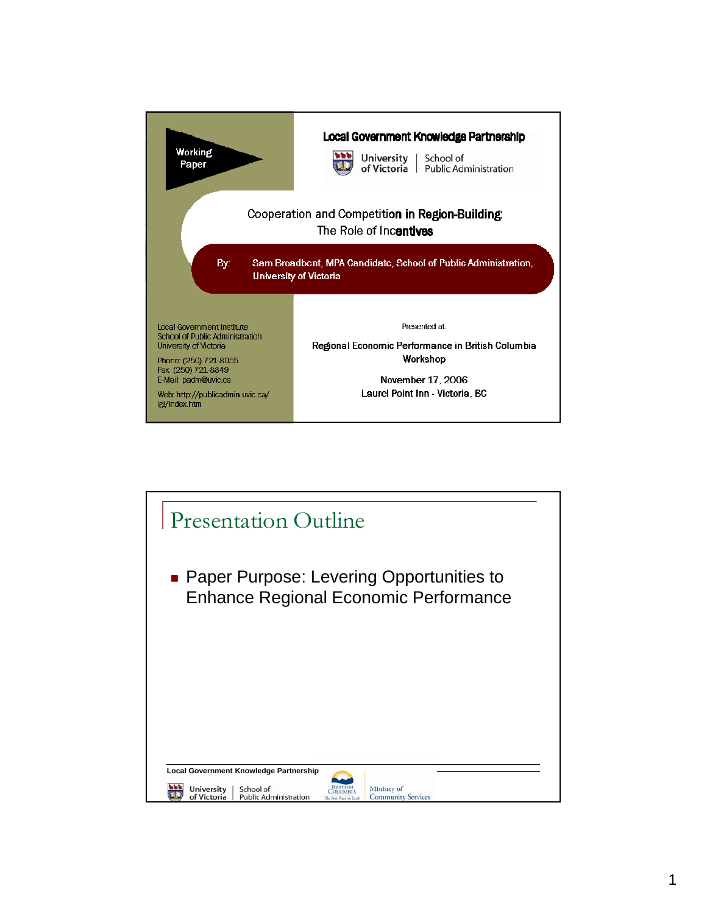

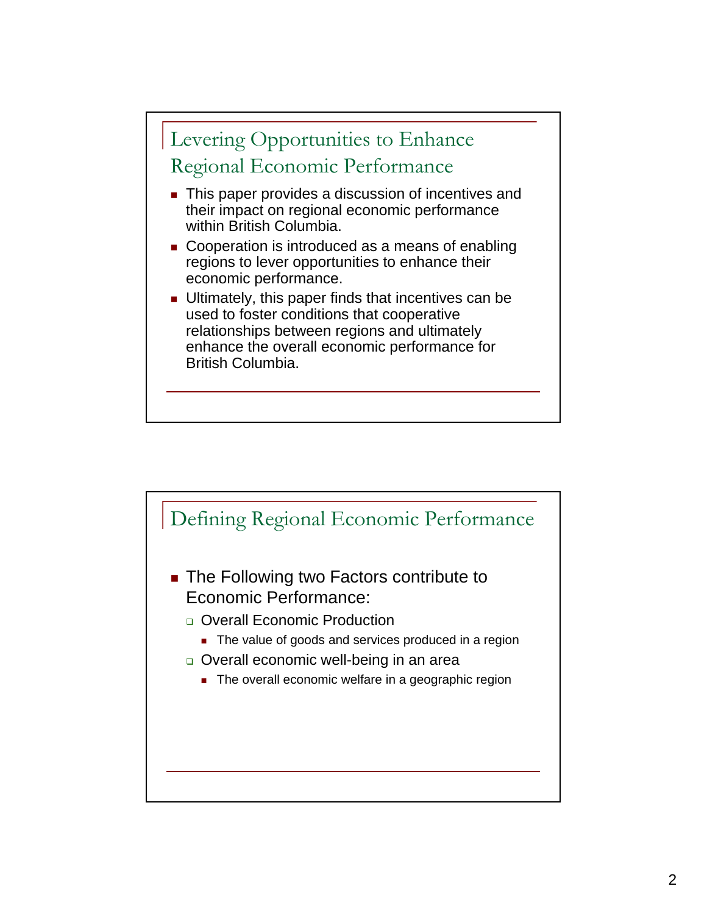

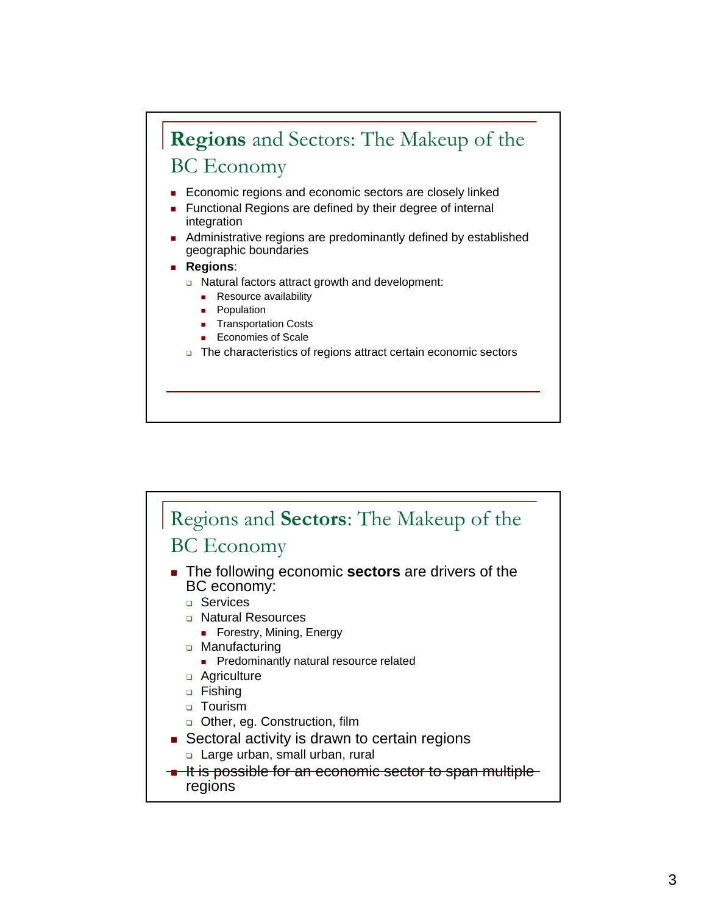## **Regions** and Sectors: The Makeup of the BC Economy

- **Economic regions and economic sectors are closely linked**
- **Functional Regions are defined by their degree of internal** integration
- Administrative regions are predominantly defined by established geographic boundaries
- **Regions**:
	- □ Natural factors attract growth and development:
		- **Resource availability**
		- **Population**
		- **Transportation Costs**
		- **Economies of Scale**
	- The characteristics of regions attract certain economic sectors

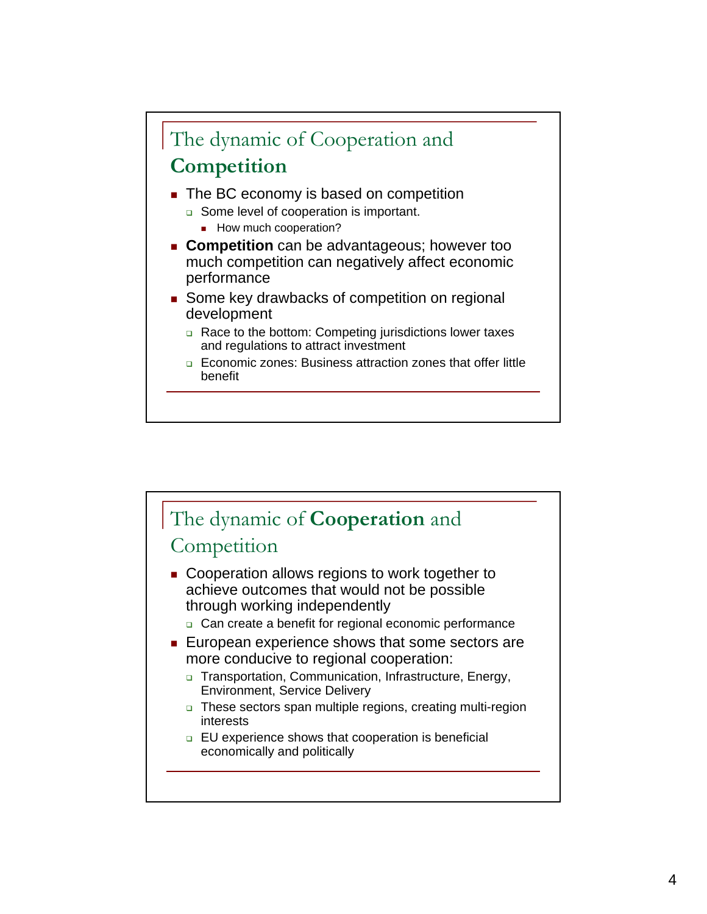

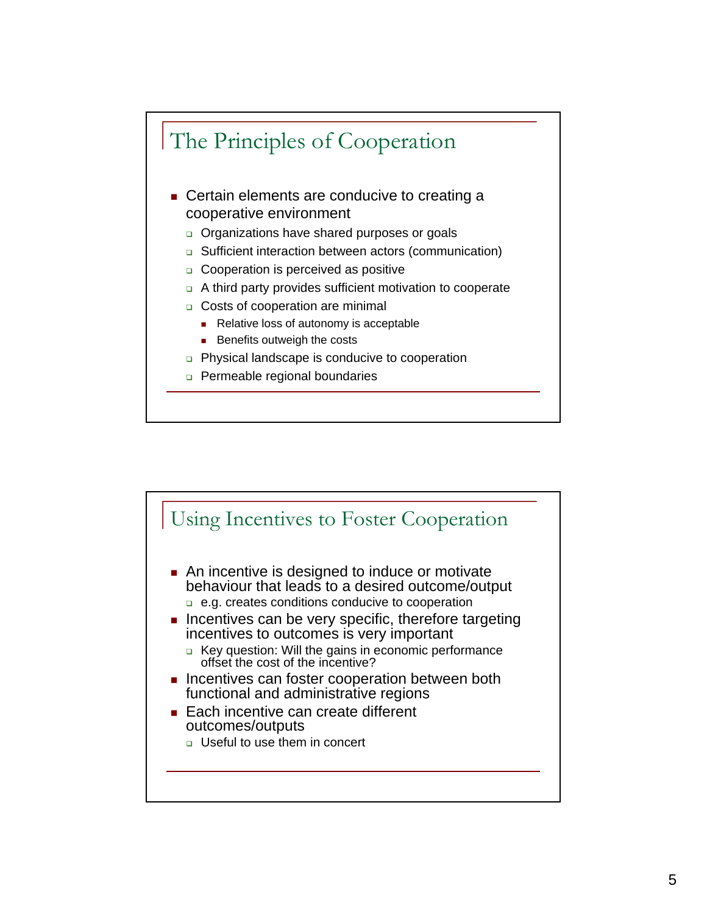

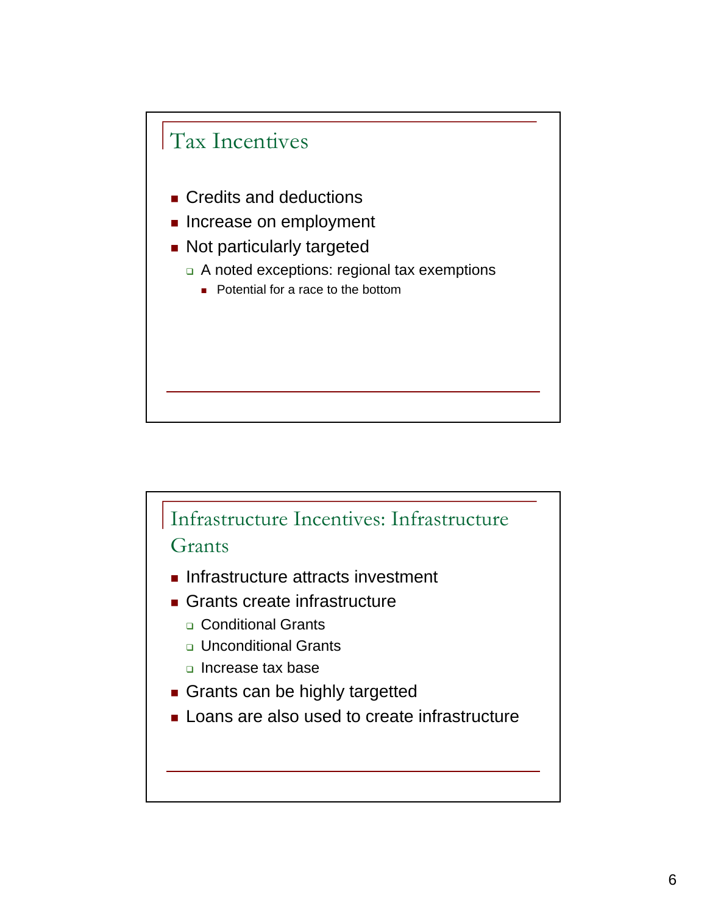

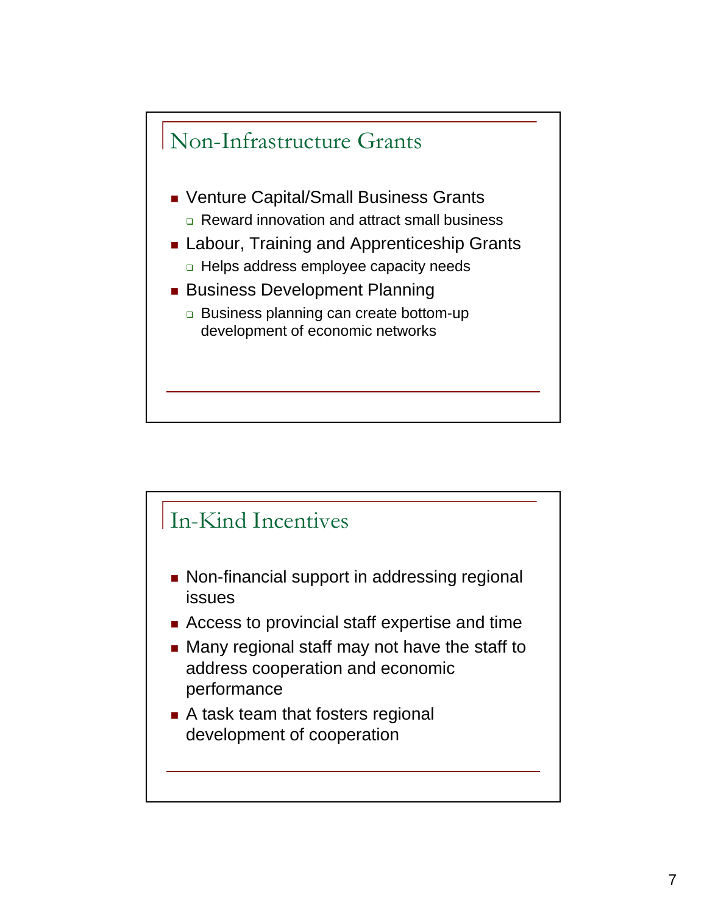

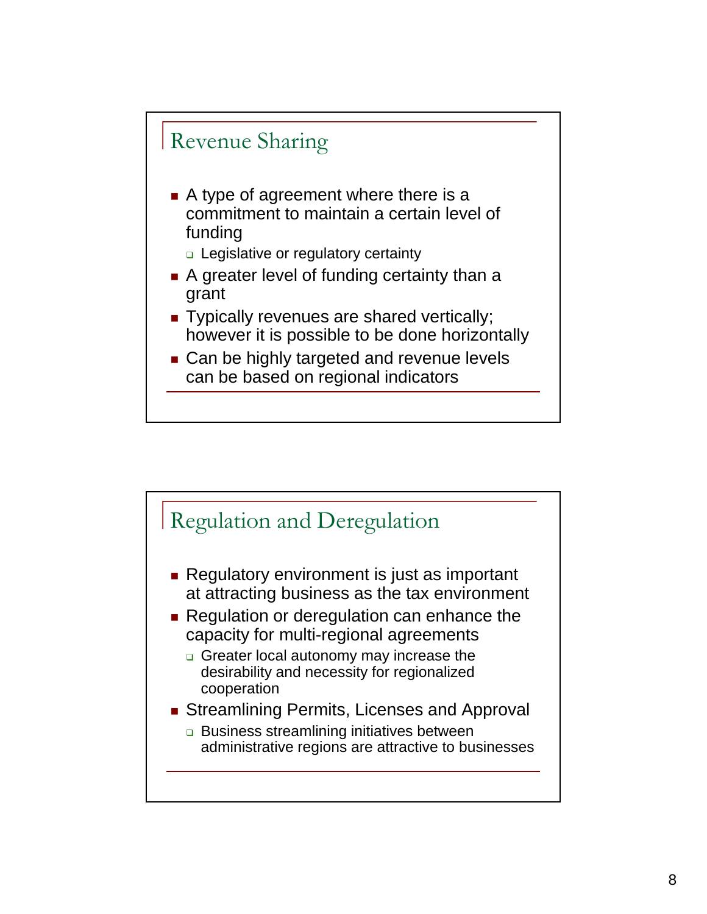## Revenue Sharing

- A type of agreement where there is a commitment to maintain a certain level of funding
	- □ Legislative or regulatory certainty
- A greater level of funding certainty than a grant
- Typically revenues are shared vertically; Typically revenues are shared vertically; however it is possible to be done horizontally
- Can be highly targeted and revenue levels can be based on regional indicators

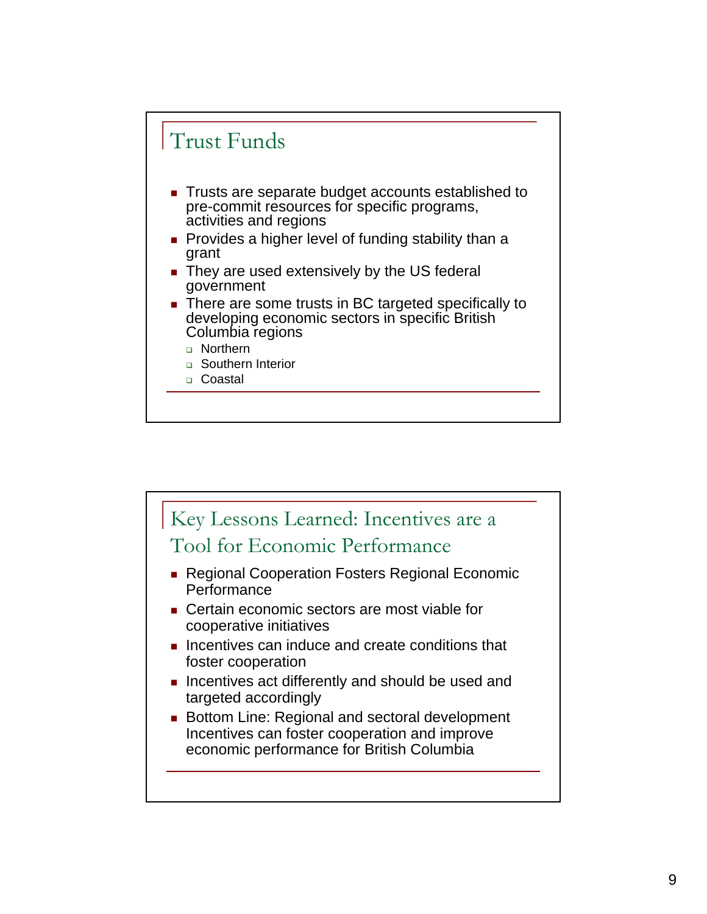